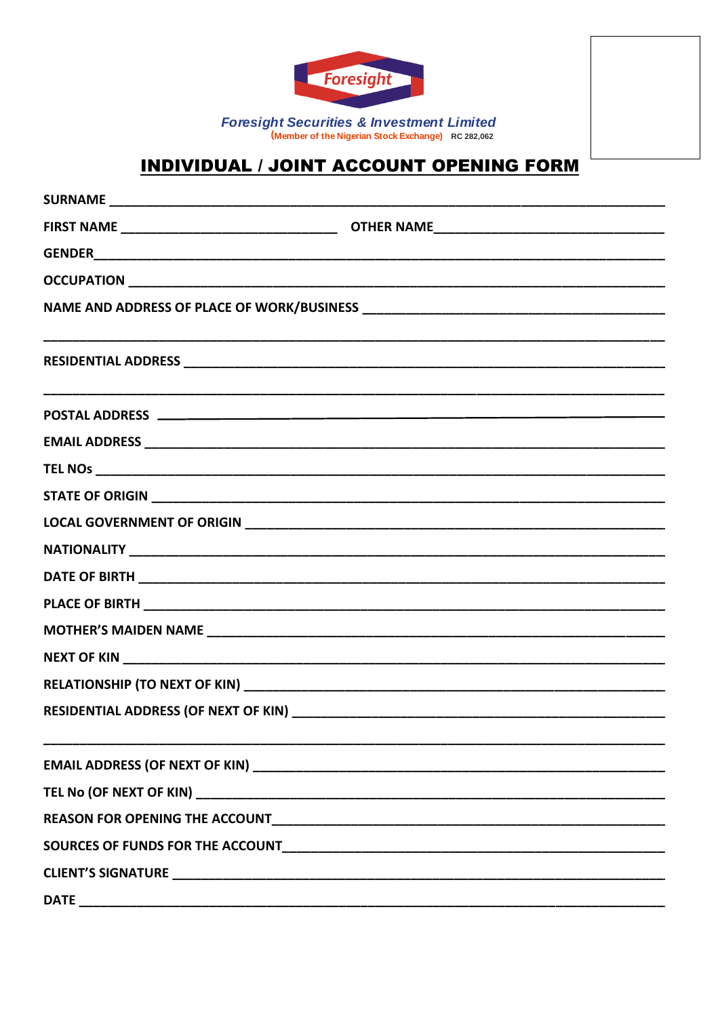

**Foresight Securities & Investment Limited** (Member of the Nigerian Stock Exchange) RC 282,062

## **INDIVIDUAL / JOINT ACCOUNT OPENING FORM**

| <b>DATE</b> |  |
|-------------|--|